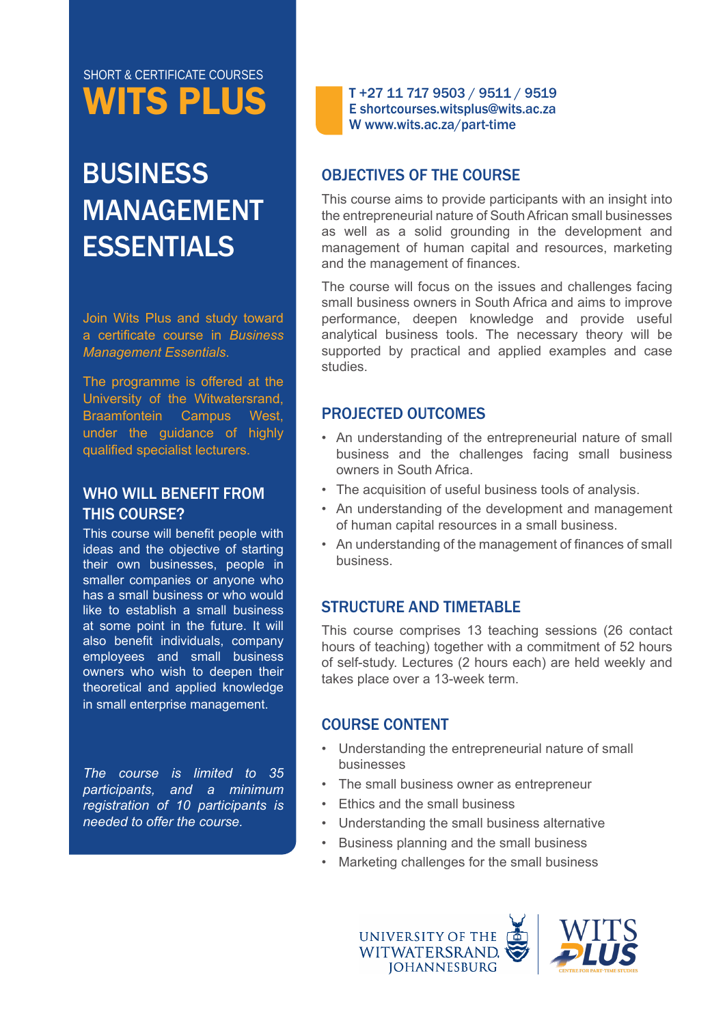# WITS PLUS SHORT & CERTIFICATE COURSES

# **BUSINESS** MANAGEMENT **ESSENTIALS**

Join Wits Plus and study toward a certificate course in *Business Management Essentials*.

The programme is offered at the University of the Witwatersrand, Braamfontein Campus West, under the guidance of highly qualified specialist lecturers.

### WHO WILL BENEFIT FROM THIS COURSE?

This course will benefit people with ideas and the objective of starting their own businesses, people in smaller companies or anyone who has a small business or who would like to establish a small business at some point in the future. It will also benefit individuals, company employees and small business owners who wish to deepen their theoretical and applied knowledge in small enterprise management.

*The course is limited to 35 participants, and a minimum registration of 10 participants is needed to offer the course.*

T +27 11 717 9503 / 9511 / 9519 E shortcourses.witsplus@wits.ac.za W www.wits.ac.za/part-time

# OBJECTIVES OF THE COURSE

This course aims to provide participants with an insight into the entrepreneurial nature of South African small businesses as well as a solid grounding in the development and management of human capital and resources, marketing and the management of finances.

The course will focus on the issues and challenges facing small business owners in South Africa and aims to improve performance, deepen knowledge and provide useful analytical business tools. The necessary theory will be supported by practical and applied examples and case studies.

# PROJECTED OUTCOMES

- An understanding of the entrepreneurial nature of small business and the challenges facing small business owners in South Africa.
- The acquisition of useful business tools of analysis.
- An understanding of the development and management of human capital resources in a small business.
- An understanding of the management of finances of small business.

# STRUCTURE AND TIMETABLE

This course comprises 13 teaching sessions (26 contact hours of teaching) together with a commitment of 52 hours of self-study. Lectures (2 hours each) are held weekly and takes place over a 13-week term.

#### COURSE CONTENT

- Understanding the entrepreneurial nature of small businesses
- The small business owner as entrepreneur
- Ethics and the small business
- Understanding the small business alternative
- Business planning and the small business
- Marketing challenges for the small business